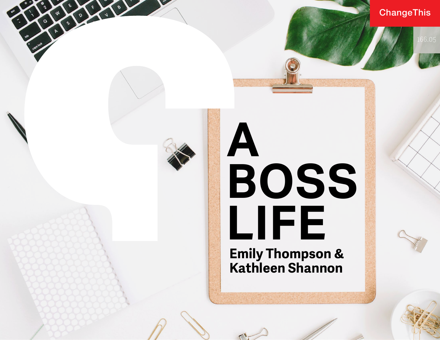

166.05



READERS

**Kathleen Shannon**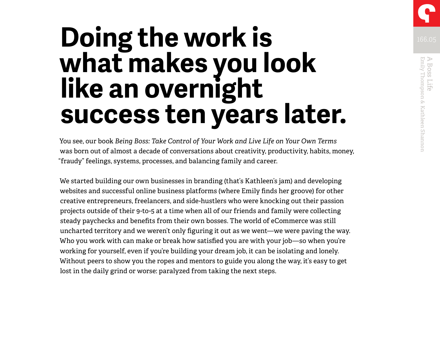# A Boss Life<br>Emily Thompson & Kathleen Shannon A Boss Life<br>Emily Thompson & Kathleen Shannon

## **Doing the work is what makes you look like an overnight success ten years later.**

You see, our book *Being Boss: Take Control of Your Work and Live Life on Your Own Terms* was born out of almost a decade of conversations about creativity, productivity, habits, money, "fraudy" feelings, systems, processes, and balancing family and career.

We started building our own businesses in branding (that's Kathleen's jam) and developing websites and successful online business platforms (where Emily finds her groove) for other creative entrepreneurs, freelancers, and side-hustlers who were knocking out their passion projects outside of their 9-to-5 at a time when all of our friends and family were collecting steady paychecks and benefits from their own bosses. The world of eCommerce was still uncharted territory and we weren't only figuring it out as we went—we were paving the way. Who you work with can make or break how satisfied you are with your job—so when you're working for yourself, even if you're building your dream job, it can be isolating and lonely. Without peers to show you the ropes and mentors to guide you along the way, it's easy to get lost in the daily grind or worse: paralyzed from taking the next steps.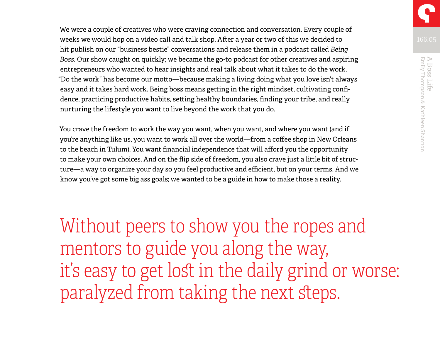We were a couple of creatives who were craving connection and conversation. Every couple of weeks we would hop on a video call and talk shop. After a year or two of this we decided to hit publish on our "business bestie" conversations and release them in a podcast called *Being Boss*. Our show caught on quickly; we became the go-to podcast for other creatives and aspiring entrepreneurs who wanted to hear insights and real talk about what it takes to do the work. "Do the work" has become our motto—because making a living doing what you love isn't always easy and it takes hard work. Being boss means getting in the right mindset, cultivating confidence, practicing productive habits, setting healthy boundaries, finding your tribe, and really nurturing the lifestyle you want to live beyond the work that you do.

You crave the freedom to work the way you want, when you want, and where you want (and if you're anything like us, you want to work all over the world—from a coffee shop in New Orleans to the beach in Tulum). You want financial independence that will afford you the opportunity to make your own choices. And on the flip side of freedom, you also crave just a little bit of structure—a way to organize your day so you feel productive and efficient, but on your terms. And we know you've got some big ass goals; we wanted to be a guide in how to make those a reality.

Without peers to show you the ropes and mentors to guide you along the way, it's easy to get lost in the daily grind or worse: paralyzed from taking the next steps.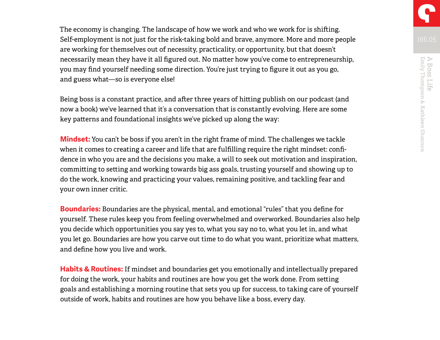The economy is changing. The landscape of how we work and who we work for is shifting. Self-employment is not just for the risk-taking bold and brave, anymore. More and more people are working for themselves out of necessity, practicality, or opportunity, but that doesn't necessarily mean they have it all figured out. No matter how you've come to entrepreneurship, you may find yourself needing some direction. You're just trying to figure it out as you go, and guess what—so is everyone else!

Being boss is a constant practice, and after three years of hitting publish on our podcast (and now a book) we've learned that it's a conversation that is constantly evolving. Here are some key patterns and foundational insights we've picked up along the way:

**Mindset:** You can't be boss if you aren't in the right frame of mind. The challenges we tackle when it comes to creating a career and life that are fulfilling require the right mindset: confidence in who you are and the decisions you make, a will to seek out motivation and inspiration, committing to setting and working towards big ass goals, trusting yourself and showing up to do the work, knowing and practicing your values, remaining positive, and tackling fear and your own inner critic.

**Boundaries:** Boundaries are the physical, mental, and emotional "rules" that you define for yourself. These rules keep you from feeling overwhelmed and overworked. Boundaries also help you decide which opportunities you say yes to, what you say no to, what you let in, and what you let go. Boundaries are how you carve out time to do what you want, prioritize what matters, and define how you live and work.

**Habits & Routines:** If mindset and boundaries get you emotionally and intellectually prepared for doing the work, your habits and routines are how you get the work done. From setting goals and establishing a morning routine that sets you up for success, to taking care of yourself outside of work, habits and routines are how you behave like a boss, every day.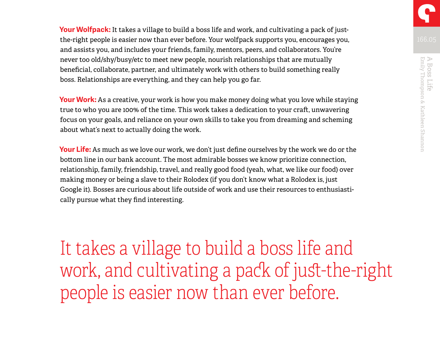**Your Wolfpack:** It takes a village to build a boss life and work, and cultivating a pack of justthe-right people is easier now than ever before. Your wolfpack supports you, encourages you, and assists you, and includes your friends, family, mentors, peers, and collaborators. You're never too old/shy/busy/etc to meet new people, nourish relationships that are mutually beneficial, collaborate, partner, and ultimately work with others to build something really boss. Relationships are everything, and they can help you go far.

**Your Work:** As a creative, your work is how you make money doing what you love while staying true to who you are 100% of the time. This work takes a dedication to your craft, unwavering focus on your goals, and reliance on your own skills to take you from dreaming and scheming about what's next to actually doing the work.

**Your Life:** As much as we love our work, we don't just define ourselves by the work we do or the bottom line in our bank account. The most admirable bosses we know prioritize connection, relationship, family, friendship, travel, and really good food (yeah, what, we like our food) over making money or being a slave to their Rolodex (if you don't know what a Rolodex is, just Google it). Bosses are curious about life outside of work and use their resources to enthusiastically pursue what they find interesting.

It takes a village to build a boss life and work, and cultivating a pack of just-the-right people is easier now than ever before.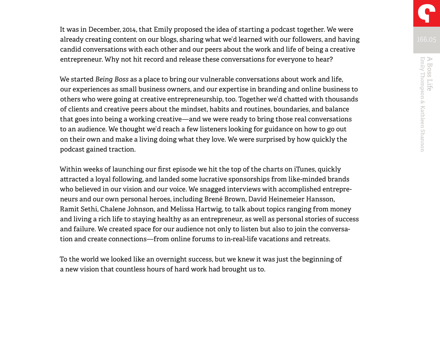It was in December, 2014, that Emily proposed the idea of starting a podcast together. We were already creating content on our blogs, sharing what we'd learned with our followers, and having candid conversations with each other and our peers about the work and life of being a creative entrepreneur. Why not hit record and release these conversations for everyone to hear?

We started *Being Boss* as a place to bring our vulnerable conversations about work and life, our experiences as small business owners, and our expertise in branding and online business to others who were going at creative entrepreneurship, too. Together we'd chatted with thousands of clients and creative peers about the mindset, habits and routines, boundaries, and balance that goes into being a working creative—and we were ready to bring those real conversations to an audience. We thought we'd reach a few listeners looking for guidance on how to go out on their own and make a living doing what they love. We were surprised by how quickly the podcast gained traction.

Within weeks of launching our first episode we hit the top of the charts on iTunes, quickly attracted a loyal following, and landed some lucrative sponsorships from like-minded brands who believed in our vision and our voice. We snagged interviews with accomplished entrepreneurs and our own personal heroes, including Brené Brown, David Heinemeier Hansson, Ramit Sethi, Chalene Johnson, and Melissa Hartwig, to talk about topics ranging from money and living a rich life to staying healthy as an entrepreneur, as well as personal stories of success and failure. We created space for our audience not only to listen but also to join the conversation and create connections—from online forums to in-real-life vacations and retreats.

To the world we looked like an overnight success, but we knew it was just the beginning of a new vision that countless hours of hard work had brought us to.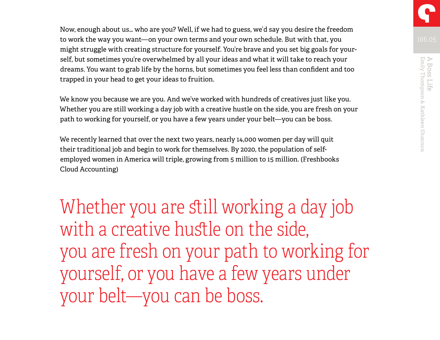Now, enough about us… who are you? Well, if we had to guess, we'd say you desire the freedom to work the way you want—on your own terms and your own schedule. But with that, you might struggle with creating structure for yourself. You're brave and you set big goals for yourself, but sometimes you're overwhelmed by all your ideas and what it will take to reach your dreams. You want to grab life by the horns, but sometimes you feel less than confident and too trapped in your head to get your ideas to fruition.

We know you because we are you. And we've worked with hundreds of creatives just like you. Whether you are still working a day job with a creative hustle on the side, you are fresh on your path to working for yourself, or you have a few years under your belt—you can be boss.

We recently learned that over the next two years, nearly 14,000 women per day will quit their traditional job and begin to work for themselves. By 2020, the population of selfemployed women in America will triple, growing from 5 million to 15 million. (Freshbooks Cloud Accounting)

Whether you are still working a day job with a creative hustle on the side, you are fresh on your path to working for yourself, or you have a few years under your belt—you can be boss.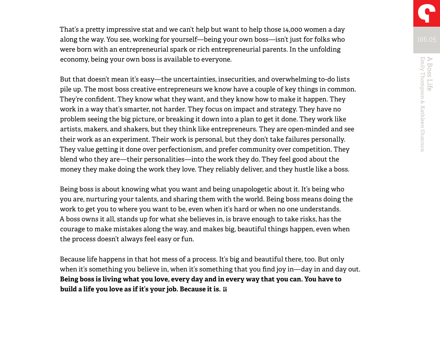That's a pretty impressive stat and we can't help but want to help those 14,000 women a day along the way. You see, working for yourself—being your own boss—isn't just for folks who were born with an entrepreneurial spark or rich entrepreneurial parents. In the unfolding economy, being your own boss is available to everyone.

But that doesn't mean it's easy—the uncertainties, insecurities, and overwhelming to-do lists pile up. The most boss creative entrepreneurs we know have a couple of key things in common. They're confident. They know what they want, and they know how to make it happen. They work in a way that's smarter, not harder. They focus on impact and strategy. They have no problem seeing the big picture, or breaking it down into a plan to get it done. They work like artists, makers, and shakers, but they think like entrepreneurs. They are open-minded and see their work as an experiment. Their work is personal, but they don't take failures personally. They value getting it done over perfectionism, and prefer community over competition. They blend who they are—their personalities—into the work they do. They feel good about the money they make doing the work they love. They reliably deliver, and they hustle like a boss.

Being boss is about knowing what you want and being unapologetic about it. It's being who you are, nurturing your talents, and sharing them with the world. Being boss means doing the work to get you to where you want to be, even when it's hard or when no one understands. A boss owns it all, stands up for what she believes in, is brave enough to take risks, has the courage to make mistakes along the way, and makes big, beautiful things happen, even when the process doesn't always feel easy or fun.

Because life happens in that hot mess of a process. It's big and beautiful there, too. But only when it's something you believe in, when it's something that you find joy in—day in and day out. **Being boss is living what you love, every day and in every way that you can. You have to build a life you love as if it's your job. Because it is.**